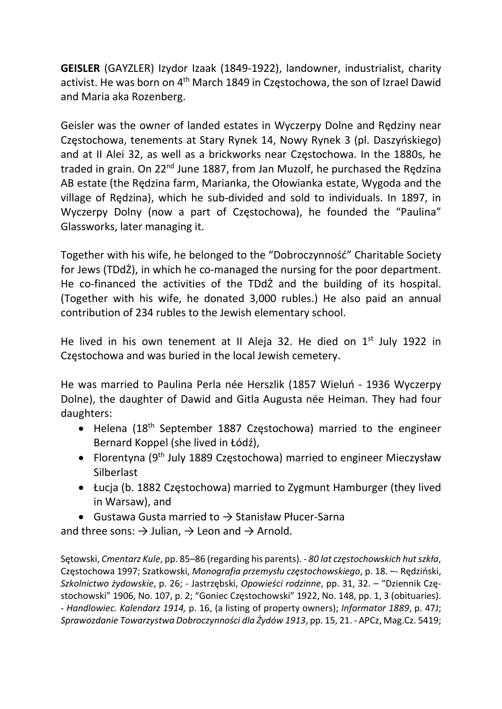GEISLER (GAYZLER) Izydor Izaak (1849-1922), landowner, industrialist, charity activist. He was born on 4<sup>th</sup> March 1849 in Częstochowa, the son of Izrael Dawid and Maria aka Rozenberg.

Geisler was the owner of landed estates in Wyczerpy Dolne and Rędziny near Częstochowa, tenements at Stary Rynek 14, Nowy Rynek 3 (pl. Daszyńskiego) and at II Alei 32, as well as a brickworks near Częstochowa. In the 1880s, he traded in grain. On 22<sup>nd</sup> June 1887, from Jan Muzolf, he purchased the Redzina AB estate (the Rędzina farm, Marianka, the Ołowianka estate, Wygoda and the village of Rędzina), which he sub-divided and sold to individuals. In 1897, in Wyczerpy Dolny (now a part of Częstochowa), he founded the "Paulina" Glassworks, later managing it.

Together with his wife, he belonged to the "Dobroczynność" Charitable Society for Jews (TDdŻ), in which he co-managed the nursing for the poor department. He co-financed the activities of the TDdŻ and the building of its hospital. (Together with his wife, he donated 3,000 rubles.) He also paid an annual contribution of 234 rubles to the Jewish elementary school.

He lived in his own tenement at II Aleja 32. He died on  $1<sup>st</sup>$  July 1922 in Częstochowa and was buried in the local Jewish cemetery.

He was married to Paulina Perla née Herszlik (1857 Wieluń - 1936 Wyczerpy Dolne), the daughter of Dawid and Gitla Augusta née Heiman. They had four daughters:

- Helena (18<sup>th</sup> September 1887 Częstochowa) married to the engineer Bernard Koppel (she lived in Łódź),
- Florentyna (9<sup>th</sup> July 1889 Częstochowa) married to engineer Mieczysław **Silberlast**
- Łucja (b. 1882 Częstochowa) married to Zygmunt Hamburger (they lived in Warsaw), and
- Gustawa Gusta married to  $\rightarrow$  Stanisław Płucer-Sarna

and three sons:  $\rightarrow$  Julian,  $\rightarrow$  Leon and  $\rightarrow$  Arnold.

Sętowski, Cmentarz Kule, pp. 85–86 (regarding his parents). - 80 lat częstochowskich hut szkła, Częstochowa 1997; Szatkowski, Monografia przemysłu częstochowskiego, p. 18. –- Rędziński, Szkolnictwo żydowskie, p. 26; - Jastrzębski, Opowieści rodzinne, pp. 31, 32. – "Dziennik Częstochowski" 1906, No. 107, p. 2; "Goniec Częstochowski" 1922, No. 148, pp. 1, 3 (obituaries). - Handlowiec. Kalendarz 1914, p. 16, (a listing of property owners); Informator 1889, p. 47J; Sprawozdanie Towarzystwa Dobroczynności dla Żydów 1913, pp. 15, 21. - APCz, Mag.Cz. 5419;